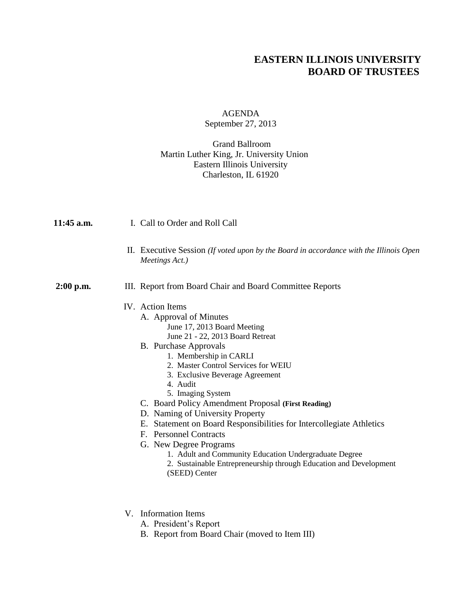## **EASTERN ILLINOIS UNIVERSITY BOARD OF TRUSTEES**

## AGENDA September 27, 2013

## Grand Ballroom Martin Luther King, Jr. University Union Eastern Illinois University Charleston, IL 61920

| 11:45 a.m.  | I. Call to Order and Roll Call                                                                                                                                                                                                                                                                                                                                                                                                                                                                                                                                                                                                                          |
|-------------|---------------------------------------------------------------------------------------------------------------------------------------------------------------------------------------------------------------------------------------------------------------------------------------------------------------------------------------------------------------------------------------------------------------------------------------------------------------------------------------------------------------------------------------------------------------------------------------------------------------------------------------------------------|
|             | II. Executive Session (If voted upon by the Board in accordance with the Illinois Open<br>Meetings Act.)                                                                                                                                                                                                                                                                                                                                                                                                                                                                                                                                                |
| $2:00$ p.m. | III. Report from Board Chair and Board Committee Reports                                                                                                                                                                                                                                                                                                                                                                                                                                                                                                                                                                                                |
|             | IV. Action Items<br>A. Approval of Minutes<br>June 17, 2013 Board Meeting<br>June 21 - 22, 2013 Board Retreat<br><b>B.</b> Purchase Approvals<br>1. Membership in CARLI<br>2. Master Control Services for WEIU<br>3. Exclusive Beverage Agreement<br>4. Audit<br>5. Imaging System<br>C. Board Policy Amendment Proposal (First Reading)<br>D. Naming of University Property<br>E. Statement on Board Responsibilities for Intercollegiate Athletics<br>F. Personnel Contracts<br>G. New Degree Programs<br>1. Adult and Community Education Undergraduate Degree<br>2. Sustainable Entrepreneurship through Education and Development<br>(SEED) Center |
|             | V. Information Items<br>A. President's Report                                                                                                                                                                                                                                                                                                                                                                                                                                                                                                                                                                                                           |

B. Report from Board Chair (moved to Item III)